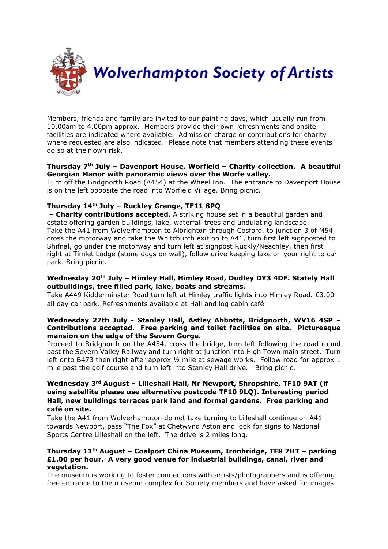

Members, friends and family are invited to our painting days, which usually run from 10.00am to 4.00pm approx. Members provide their own refreshments and onsite facilities are indicated where available. Admission charge or contributions for charity where requested are also indicated. Please note that members attending these events do so at their own risk.

## **Thursday 7th July – Davenport House, Worfield – Charity collection. A beautiful Georgian Manor with panoramic views over the Worfe valley.**

Turn off the Bridgnorth Road (A454) at the Wheel Inn. The entrance to Davenport House is on the left opposite the road into Worfield Village. Bring picnic.

# **Thursday 14th July – Ruckley Grange, TF11 8PQ**

**– Charity contributions accepted.** A striking house set in a beautiful garden and estate offering garden buildings, lake, waterfall trees and undulating landscape. Take the A41 from Wolverhampton to Albrighton through Cosford, to junction 3 of M54, cross the motorway and take the Whitchurch exit on to A41, turn first left signposted to Shifnal, go under the motorway and turn left at signpost Ruckly/Neachley, then first right at Timlet Lodge (stone dogs on wall), follow drive keeping lake on your right to car park. Bring picnic.

## **Wednesday 20th July – Himley Hall, Himley Road, Dudley DY3 4DF. Stately Hall outbuildings, tree filled park, lake, boats and streams.**

Take A449 Kidderminster Road turn left at Himley traffic lights into Himley Road. £3.00 all day car park. Refreshments available at Hall and log cabin café.

## **Wednesday 27th July - Stanley Hall, Astley Abbotts, Bridgnorth, WV16 4SP – Contributions accepted. Free parking and toilet facilities on site. Picturesque mansion on the edge of the Severn Gorge.**

Proceed to Bridgnorth on the A454, cross the bridge, turn left following the road round past the Severn Valley Railway and turn right at junction into High Town main street. Turn left onto B473 then right after approx 1/2 mile at sewage works. Follow road for approx 1 mile past the golf course and turn left into Stanley Hall drive. Bring picnic.

# **Wednesday 3rd August – Lilleshall Hall, Nr Newport, Shropshire, TF10 9AT (if using satellite please use alternative postcode TF10 9LQ). Interesting period Hall, new buildings terraces park land and formal gardens. Free parking and café on site.**

Take the A41 from Wolverhampton do not take turning to Lilleshall continue on A41 towards Newport, pass "The Fox" at Chetwynd Aston and look for signs to National Sports Centre Lilleshall on the left. The drive is 2 miles long.

#### **Thursday 11th August – Coalport China Museum, Ironbridge, TF8 7HT – parking £1.00 per hour. A very good venue for industrial buildings, canal, river and vegetation.**

The museum is working to foster connections with artists/photographers and is offering free entrance to the museum complex for Society members and have asked for images